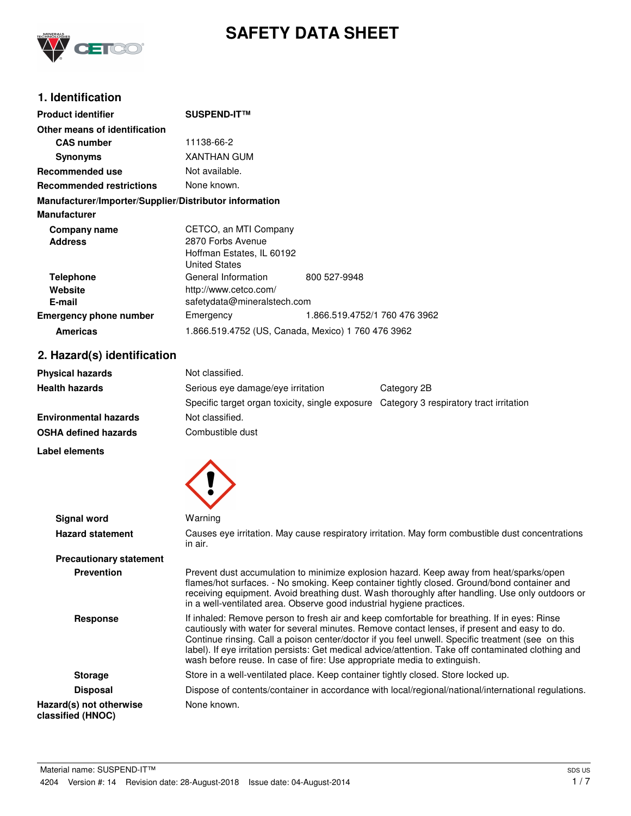

# **SAFETY DATA SHEET**

## **1. Identification**

| <b>Product identifier</b>                              | <b>SUSPEND-IT™</b>                                                                              |                               |
|--------------------------------------------------------|-------------------------------------------------------------------------------------------------|-------------------------------|
| Other means of identification                          |                                                                                                 |                               |
| <b>CAS number</b>                                      | 11138-66-2                                                                                      |                               |
| <b>Synonyms</b>                                        | <b>XANTHAN GUM</b>                                                                              |                               |
| Recommended use                                        | Not available.                                                                                  |                               |
| <b>Recommended restrictions</b>                        | None known.                                                                                     |                               |
| Manufacturer/Importer/Supplier/Distributor information |                                                                                                 |                               |
| <b>Manufacturer</b>                                    |                                                                                                 |                               |
| Company name<br><b>Address</b>                         | CETCO, an MTI Company<br>2870 Forbs Avenue<br>Hoffman Estates, IL 60192<br><b>United States</b> |                               |
| <b>Telephone</b><br>Website<br>E-mail                  | General Information<br>http://www.cetco.com/<br>safetydata@mineralstech.com                     | 800 527-9948                  |
| <b>Emergency phone number</b>                          | Emergency                                                                                       | 1.866.519.4752/1 760 476 3962 |
| <b>Americas</b>                                        | 1.866.519.4752 (US, Canada, Mexico) 1 760 476 3962                                              |                               |

# **2. Hazard(s) identification**

| <b>Physical hazards</b>      | Not classified.                                                                         |             |
|------------------------------|-----------------------------------------------------------------------------------------|-------------|
| <b>Health hazards</b>        | Serious eve damage/eve irritation                                                       | Category 2B |
|                              | Specific target organ toxicity, single exposure Category 3 respiratory tract irritation |             |
| <b>Environmental hazards</b> | Not classified.                                                                         |             |
| <b>OSHA defined hazards</b>  | Combustible dust                                                                        |             |

**Label elements**



| <b>Signal word</b>                           | Warning                                                                                                                                                                                                                                                                                                                                                                                                                                                                               |
|----------------------------------------------|---------------------------------------------------------------------------------------------------------------------------------------------------------------------------------------------------------------------------------------------------------------------------------------------------------------------------------------------------------------------------------------------------------------------------------------------------------------------------------------|
| <b>Hazard statement</b>                      | Causes eye irritation. May cause respiratory irritation. May form combustible dust concentrations<br>in air.                                                                                                                                                                                                                                                                                                                                                                          |
| <b>Precautionary statement</b>               |                                                                                                                                                                                                                                                                                                                                                                                                                                                                                       |
| <b>Prevention</b>                            | Prevent dust accumulation to minimize explosion hazard. Keep away from heat/sparks/open<br>flames/hot surfaces. - No smoking. Keep container tightly closed. Ground/bond container and<br>receiving equipment. Avoid breathing dust. Wash thoroughly after handling. Use only outdoors or<br>in a well-ventilated area. Observe good industrial hygiene practices.                                                                                                                    |
| Response                                     | If inhaled: Remove person to fresh air and keep comfortable for breathing. If in eyes: Rinse<br>cautiously with water for several minutes. Remove contact lenses, if present and easy to do.<br>Continue rinsing. Call a poison center/doctor if you feel unwell. Specific treatment (see on this<br>label). If eye irritation persists: Get medical advice/attention. Take off contaminated clothing and<br>wash before reuse. In case of fire: Use appropriate media to extinguish. |
| <b>Storage</b>                               | Store in a well-ventilated place. Keep container tightly closed. Store locked up.                                                                                                                                                                                                                                                                                                                                                                                                     |
| <b>Disposal</b>                              | Dispose of contents/container in accordance with local/regional/national/international regulations.                                                                                                                                                                                                                                                                                                                                                                                   |
| Hazard(s) not otherwise<br>classified (HNOC) | None known.                                                                                                                                                                                                                                                                                                                                                                                                                                                                           |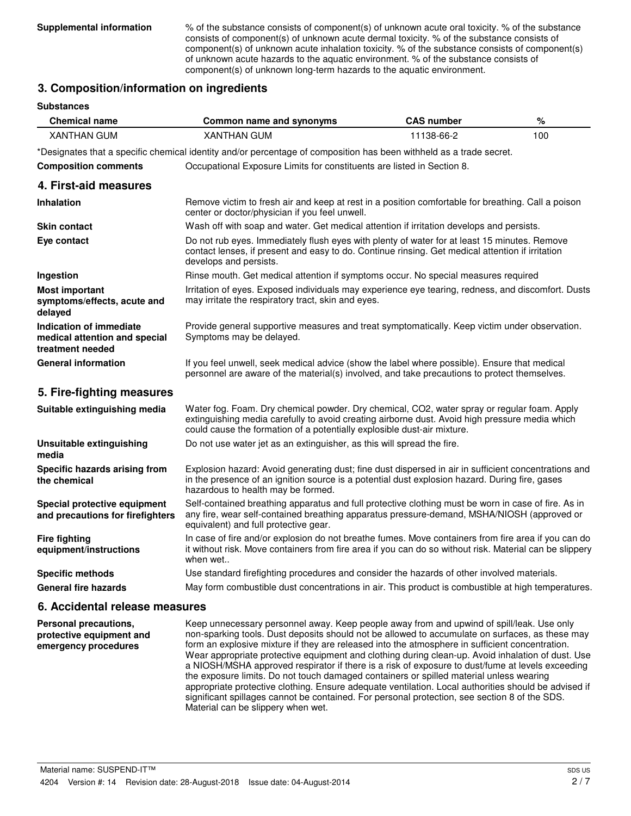**Supplemental information** % of the substance consists of component(s) of unknown acute oral toxicity. % of the substance consists of component(s) of unknown acute dermal toxicity. % of the substance consists of component(s) of unknown acute inhalation toxicity. % of the substance consists of component(s) of unknown acute hazards to the aquatic environment. % of the substance consists of component(s) of unknown long-term hazards to the aquatic environment.

#### **3. Composition/information on ingredients**

**Substances**

| <b>Chemical name</b>                                                         | Common name and synonyms                                                                                                                                                                                                                                                 | <b>CAS number</b> | $\%$ |
|------------------------------------------------------------------------------|--------------------------------------------------------------------------------------------------------------------------------------------------------------------------------------------------------------------------------------------------------------------------|-------------------|------|
| <b>XANTHAN GUM</b>                                                           | <b>XANTHAN GUM</b>                                                                                                                                                                                                                                                       | 11138-66-2        | 100  |
|                                                                              | *Designates that a specific chemical identity and/or percentage of composition has been withheld as a trade secret.                                                                                                                                                      |                   |      |
| <b>Composition comments</b>                                                  | Occupational Exposure Limits for constituents are listed in Section 8.                                                                                                                                                                                                   |                   |      |
| 4. First-aid measures                                                        |                                                                                                                                                                                                                                                                          |                   |      |
| <b>Inhalation</b>                                                            | Remove victim to fresh air and keep at rest in a position comfortable for breathing. Call a poison<br>center or doctor/physician if you feel unwell.                                                                                                                     |                   |      |
| <b>Skin contact</b>                                                          | Wash off with soap and water. Get medical attention if irritation develops and persists.                                                                                                                                                                                 |                   |      |
| Eye contact                                                                  | Do not rub eyes. Immediately flush eyes with plenty of water for at least 15 minutes. Remove<br>contact lenses, if present and easy to do. Continue rinsing. Get medical attention if irritation<br>develops and persists.                                               |                   |      |
| Ingestion                                                                    | Rinse mouth. Get medical attention if symptoms occur. No special measures required                                                                                                                                                                                       |                   |      |
| Most important<br>symptoms/effects, acute and<br>delayed                     | Irritation of eyes. Exposed individuals may experience eye tearing, redness, and discomfort. Dusts<br>may irritate the respiratory tract, skin and eyes.                                                                                                                 |                   |      |
| Indication of immediate<br>medical attention and special<br>treatment needed | Provide general supportive measures and treat symptomatically. Keep victim under observation.<br>Symptoms may be delayed.                                                                                                                                                |                   |      |
| <b>General information</b>                                                   | If you feel unwell, seek medical advice (show the label where possible). Ensure that medical<br>personnel are aware of the material(s) involved, and take precautions to protect themselves.                                                                             |                   |      |
| 5. Fire-fighting measures                                                    |                                                                                                                                                                                                                                                                          |                   |      |
| Suitable extinguishing media                                                 | Water fog. Foam. Dry chemical powder. Dry chemical, CO2, water spray or regular foam. Apply<br>extinguishing media carefully to avoid creating airborne dust. Avoid high pressure media which<br>could cause the formation of a potentially explosible dust-air mixture. |                   |      |
| Unsuitable extinguishing<br>media                                            | Do not use water jet as an extinguisher, as this will spread the fire.                                                                                                                                                                                                   |                   |      |
| Specific hazards arising from<br>the chemical                                | Explosion hazard: Avoid generating dust; fine dust dispersed in air in sufficient concentrations and<br>in the presence of an ignition source is a potential dust explosion hazard. During fire, gases<br>hazardous to health may be formed.                             |                   |      |
| Special protective equipment<br>and precautions for firefighters             | Self-contained breathing apparatus and full protective clothing must be worn in case of fire. As in<br>any fire, wear self-contained breathing apparatus pressure-demand, MSHA/NIOSH (approved or<br>equivalent) and full protective gear.                               |                   |      |
| <b>Fire fighting</b><br>equipment/instructions                               | In case of fire and/or explosion do not breathe fumes. Move containers from fire area if you can do<br>it without risk. Move containers from fire area if you can do so without risk. Material can be slippery<br>when wet                                               |                   |      |
| <b>Specific methods</b>                                                      | Use standard firefighting procedures and consider the hazards of other involved materials.                                                                                                                                                                               |                   |      |
| <b>General fire hazards</b>                                                  | May form combustible dust concentrations in air. This product is combustible at high temperatures.                                                                                                                                                                       |                   |      |
| 6. Accidental release measures                                               |                                                                                                                                                                                                                                                                          |                   |      |

Keep unnecessary personnel away. Keep people away from and upwind of spill/leak. Use only non-sparking tools. Dust deposits should not be allowed to accumulate on surfaces, as these may form an explosive mixture if they are released into the atmosphere in sufficient concentration. Wear appropriate protective equipment and clothing during clean-up. Avoid inhalation of dust. Use a NIOSH/MSHA approved respirator if there is a risk of exposure to dust/fume at levels exceeding the exposure limits. Do not touch damaged containers or spilled material unless wearing appropriate protective clothing. Ensure adequate ventilation. Local authorities should be advised if significant spillages cannot be contained. For personal protection, see section 8 of the SDS. Material can be slippery when wet. **Personal precautions, protective equipment and emergency procedures**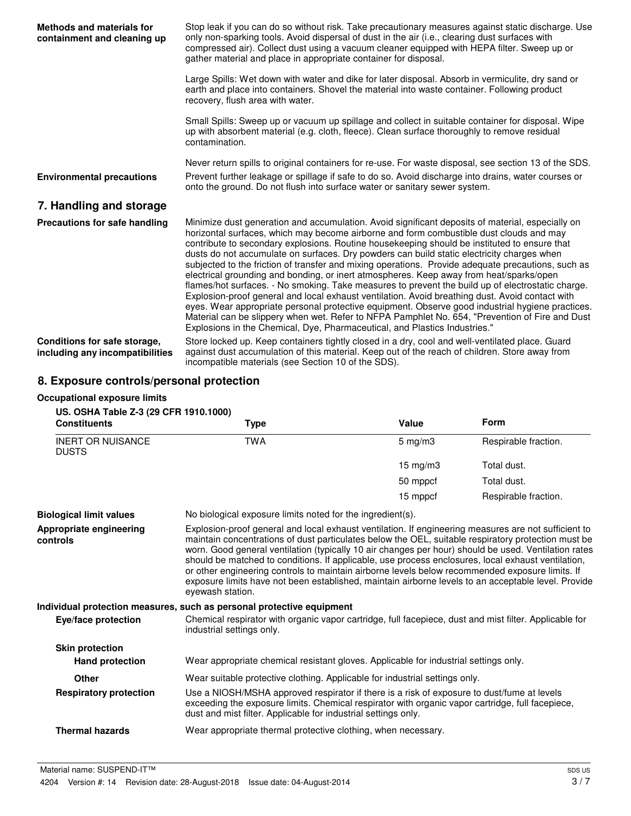| Methods and materials for<br>containment and cleaning up        | Stop leak if you can do so without risk. Take precautionary measures against static discharge. Use<br>only non-sparking tools. Avoid dispersal of dust in the air (i.e., clearing dust surfaces with<br>compressed air). Collect dust using a vacuum cleaner equipped with HEPA filter. Sweep up or<br>gather material and place in appropriate container for disposal.                                                                                                                                                                                                                                                                                                                                                                                                                                                                                                                                                                                                                                                                                                                  |
|-----------------------------------------------------------------|------------------------------------------------------------------------------------------------------------------------------------------------------------------------------------------------------------------------------------------------------------------------------------------------------------------------------------------------------------------------------------------------------------------------------------------------------------------------------------------------------------------------------------------------------------------------------------------------------------------------------------------------------------------------------------------------------------------------------------------------------------------------------------------------------------------------------------------------------------------------------------------------------------------------------------------------------------------------------------------------------------------------------------------------------------------------------------------|
|                                                                 | Large Spills: Wet down with water and dike for later disposal. Absorb in vermiculite, dry sand or<br>earth and place into containers. Shovel the material into waste container. Following product<br>recovery, flush area with water.                                                                                                                                                                                                                                                                                                                                                                                                                                                                                                                                                                                                                                                                                                                                                                                                                                                    |
|                                                                 | Small Spills: Sweep up or vacuum up spillage and collect in suitable container for disposal. Wipe<br>up with absorbent material (e.g. cloth, fleece). Clean surface thoroughly to remove residual<br>contamination.                                                                                                                                                                                                                                                                                                                                                                                                                                                                                                                                                                                                                                                                                                                                                                                                                                                                      |
| <b>Environmental precautions</b>                                | Never return spills to original containers for re-use. For waste disposal, see section 13 of the SDS.<br>Prevent further leakage or spillage if safe to do so. Avoid discharge into drains, water courses or<br>onto the ground. Do not flush into surface water or sanitary sewer system.                                                                                                                                                                                                                                                                                                                                                                                                                                                                                                                                                                                                                                                                                                                                                                                               |
| 7. Handling and storage                                         |                                                                                                                                                                                                                                                                                                                                                                                                                                                                                                                                                                                                                                                                                                                                                                                                                                                                                                                                                                                                                                                                                          |
| Precautions for safe handling                                   | Minimize dust generation and accumulation. Avoid significant deposits of material, especially on<br>horizontal surfaces, which may become airborne and form combustible dust clouds and may<br>contribute to secondary explosions. Routine house keeping should be instituted to ensure that<br>dusts do not accumulate on surfaces. Dry powders can build static electricity charges when<br>subjected to the friction of transfer and mixing operations. Provide adequate precautions, such as<br>electrical grounding and bonding, or inert atmospheres. Keep away from heat/sparks/open<br>flames/hot surfaces. - No smoking. Take measures to prevent the build up of electrostatic charge.<br>Explosion-proof general and local exhaust ventilation. Avoid breathing dust. Avoid contact with<br>eyes. Wear appropriate personal protective equipment. Observe good industrial hygiene practices.<br>Material can be slippery when wet. Refer to NFPA Pamphlet No. 654, "Prevention of Fire and Dust<br>Explosions in the Chemical, Dye, Pharmaceutical, and Plastics Industries." |
| Conditions for safe storage,<br>including any incompatibilities | Store locked up. Keep containers tightly closed in a dry, cool and well-ventilated place. Guard<br>against dust accumulation of this material. Keep out of the reach of children. Store away from<br>incompatible materials (see Section 10 of the SDS).                                                                                                                                                                                                                                                                                                                                                                                                                                                                                                                                                                                                                                                                                                                                                                                                                                 |

## **8. Exposure controls/personal protection**

#### **Occupational exposure limits**

| US. OSHA Table Z-3 (29 CFR 1910.1000)    |                                                                                                                                                                                                                                                                                                                                                                                                                                                                                                                                                                                                                                                         |                   |                      |
|------------------------------------------|---------------------------------------------------------------------------------------------------------------------------------------------------------------------------------------------------------------------------------------------------------------------------------------------------------------------------------------------------------------------------------------------------------------------------------------------------------------------------------------------------------------------------------------------------------------------------------------------------------------------------------------------------------|-------------------|----------------------|
| <b>Constituents</b>                      | <b>Type</b>                                                                                                                                                                                                                                                                                                                                                                                                                                                                                                                                                                                                                                             | Value             | <b>Form</b>          |
| <b>INERT OR NUISANCE</b><br><b>DUSTS</b> | <b>TWA</b>                                                                                                                                                                                                                                                                                                                                                                                                                                                                                                                                                                                                                                              | $5$ mg/m $3$      | Respirable fraction. |
|                                          |                                                                                                                                                                                                                                                                                                                                                                                                                                                                                                                                                                                                                                                         | $15 \text{ mg/m}$ | Total dust.          |
|                                          |                                                                                                                                                                                                                                                                                                                                                                                                                                                                                                                                                                                                                                                         | 50 mppcf          | Total dust.          |
|                                          |                                                                                                                                                                                                                                                                                                                                                                                                                                                                                                                                                                                                                                                         | 15 mppcf          | Respirable fraction. |
| <b>Biological limit values</b>           | No biological exposure limits noted for the ingredient(s).                                                                                                                                                                                                                                                                                                                                                                                                                                                                                                                                                                                              |                   |                      |
| Appropriate engineering<br>controls      | Explosion-proof general and local exhaust ventilation. If engineering measures are not sufficient to<br>maintain concentrations of dust particulates below the OEL, suitable respiratory protection must be<br>worn. Good general ventilation (typically 10 air changes per hour) should be used. Ventilation rates<br>should be matched to conditions. If applicable, use process enclosures, local exhaust ventilation,<br>or other engineering controls to maintain airborne levels below recommended exposure limits. If<br>exposure limits have not been established, maintain airborne levels to an acceptable level. Provide<br>eyewash station. |                   |                      |
|                                          | Individual protection measures, such as personal protective equipment                                                                                                                                                                                                                                                                                                                                                                                                                                                                                                                                                                                   |                   |                      |
| Eye/face protection                      | Chemical respirator with organic vapor cartridge, full facepiece, dust and mist filter. Applicable for<br>industrial settings only.                                                                                                                                                                                                                                                                                                                                                                                                                                                                                                                     |                   |                      |
| <b>Skin protection</b>                   |                                                                                                                                                                                                                                                                                                                                                                                                                                                                                                                                                                                                                                                         |                   |                      |
| <b>Hand protection</b>                   | Wear appropriate chemical resistant gloves. Applicable for industrial settings only.                                                                                                                                                                                                                                                                                                                                                                                                                                                                                                                                                                    |                   |                      |
| Other                                    | Wear suitable protective clothing. Applicable for industrial settings only.                                                                                                                                                                                                                                                                                                                                                                                                                                                                                                                                                                             |                   |                      |
| <b>Respiratory protection</b>            | Use a NIOSH/MSHA approved respirator if there is a risk of exposure to dust/fume at levels<br>exceeding the exposure limits. Chemical respirator with organic vapor cartridge, full facepiece,<br>dust and mist filter. Applicable for industrial settings only.                                                                                                                                                                                                                                                                                                                                                                                        |                   |                      |
| <b>Thermal hazards</b>                   | Wear appropriate thermal protective clothing, when necessary.                                                                                                                                                                                                                                                                                                                                                                                                                                                                                                                                                                                           |                   |                      |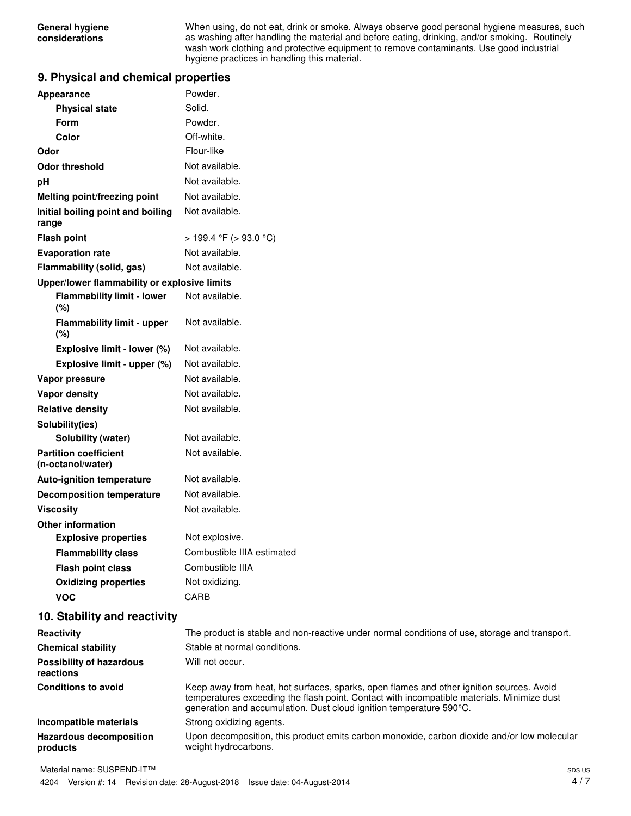When using, do not eat, drink or smoke. Always observe good personal hygiene measures, such as washing after handling the material and before eating, drinking, and/or smoking. Routinely wash work clothing and protective equipment to remove contaminants. Use good industrial hygiene practices in handling this material.

#### **9. Physical and chemical properties**

| Appearance                                        | Powder.                                                                                                                                                                                                                                                       |
|---------------------------------------------------|---------------------------------------------------------------------------------------------------------------------------------------------------------------------------------------------------------------------------------------------------------------|
| <b>Physical state</b>                             | Solid.                                                                                                                                                                                                                                                        |
| Form                                              | Powder.                                                                                                                                                                                                                                                       |
| Color                                             | Off-white.                                                                                                                                                                                                                                                    |
| Odor                                              | Flour-like                                                                                                                                                                                                                                                    |
| <b>Odor threshold</b>                             | Not available.                                                                                                                                                                                                                                                |
| рH                                                | Not available.                                                                                                                                                                                                                                                |
| Melting point/freezing point                      | Not available.                                                                                                                                                                                                                                                |
| Initial boiling point and boiling<br>range        | Not available.                                                                                                                                                                                                                                                |
| <b>Flash point</b>                                | > 199.4 °F (> 93.0 °C)                                                                                                                                                                                                                                        |
| <b>Evaporation rate</b>                           | Not available.                                                                                                                                                                                                                                                |
| Flammability (solid, gas)                         | Not available.                                                                                                                                                                                                                                                |
| Upper/lower flammability or explosive limits      |                                                                                                                                                                                                                                                               |
| <b>Flammability limit - lower</b><br>(%)          | Not available.                                                                                                                                                                                                                                                |
| <b>Flammability limit - upper</b><br>(%)          | Not available.                                                                                                                                                                                                                                                |
| Explosive limit - lower (%)                       | Not available.                                                                                                                                                                                                                                                |
| Explosive limit - upper (%)                       | Not available.                                                                                                                                                                                                                                                |
| Vapor pressure                                    | Not available.                                                                                                                                                                                                                                                |
| <b>Vapor density</b>                              | Not available.                                                                                                                                                                                                                                                |
| <b>Relative density</b>                           | Not available.                                                                                                                                                                                                                                                |
| Solubility(ies)                                   |                                                                                                                                                                                                                                                               |
| Solubility (water)                                | Not available.                                                                                                                                                                                                                                                |
| <b>Partition coefficient</b><br>(n-octanol/water) | Not available.                                                                                                                                                                                                                                                |
| <b>Auto-ignition temperature</b>                  | Not available.                                                                                                                                                                                                                                                |
| <b>Decomposition temperature</b>                  | Not available.                                                                                                                                                                                                                                                |
| <b>Viscosity</b>                                  | Not available.                                                                                                                                                                                                                                                |
| <b>Other information</b>                          |                                                                                                                                                                                                                                                               |
| <b>Explosive properties</b>                       | Not explosive.                                                                                                                                                                                                                                                |
| <b>Flammability class</b>                         | Combustible IIIA estimated                                                                                                                                                                                                                                    |
| <b>Flash point class</b>                          | Combustible IIIA                                                                                                                                                                                                                                              |
| <b>Oxidizing properties</b>                       | Not oxidizing.                                                                                                                                                                                                                                                |
| <b>VOC</b>                                        | CARB                                                                                                                                                                                                                                                          |
| 10. Stability and reactivity                      |                                                                                                                                                                                                                                                               |
| Reactivity                                        | The product is stable and non-reactive under normal conditions of use, storage and transport.                                                                                                                                                                 |
| <b>Chemical stability</b>                         | Stable at normal conditions.                                                                                                                                                                                                                                  |
| <b>Possibility of hazardous</b><br>reactions      | Will not occur.                                                                                                                                                                                                                                               |
| <b>Conditions to avoid</b>                        | Keep away from heat, hot surfaces, sparks, open flames and other ignition sources. Avoid<br>temperatures exceeding the flash point. Contact with incompatible materials. Minimize dust<br>generation and accumulation. Dust cloud ignition temperature 590°C. |
| Incompatible materials                            | Strong oxidizing agents.                                                                                                                                                                                                                                      |
| <b>Hazardous decomposition</b><br>products        | Upon decomposition, this product emits carbon monoxide, carbon dioxide and/or low molecula<br>weight hydrocarbons.                                                                                                                                            |

Material name: SUSPEND-IT™

and/or low molecular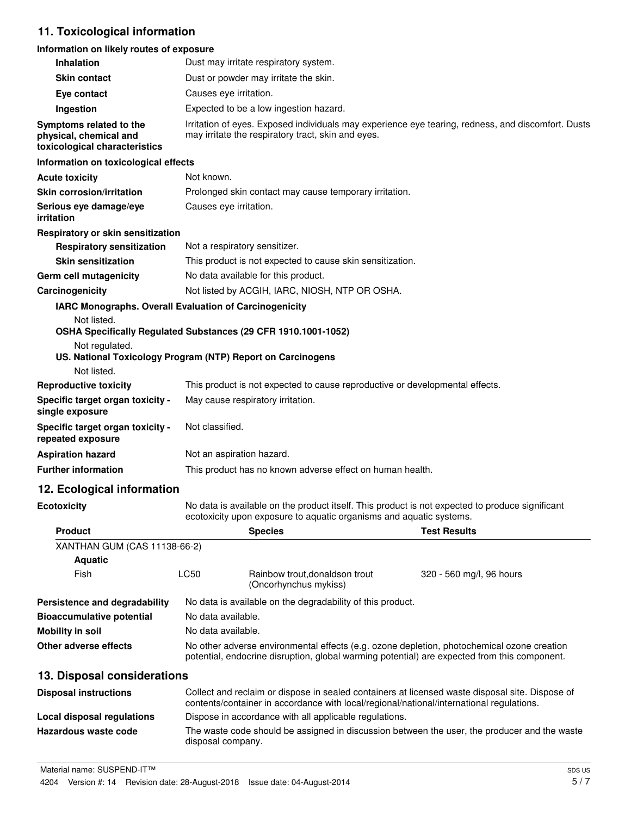# **11. Toxicological information**

#### **Information on likely routes of exposure**

| <b>Inhalation</b>                                                                  |                        | Dust may irritate respiratory system.                                                                                                                                                       |                                                                                                    |
|------------------------------------------------------------------------------------|------------------------|---------------------------------------------------------------------------------------------------------------------------------------------------------------------------------------------|----------------------------------------------------------------------------------------------------|
| <b>Skin contact</b>                                                                |                        | Dust or powder may irritate the skin.                                                                                                                                                       |                                                                                                    |
| Eye contact                                                                        | Causes eye irritation. |                                                                                                                                                                                             |                                                                                                    |
| Ingestion                                                                          |                        | Expected to be a low ingestion hazard.                                                                                                                                                      |                                                                                                    |
| Symptoms related to the<br>physical, chemical and<br>toxicological characteristics |                        | may irritate the respiratory tract, skin and eyes.                                                                                                                                          | Irritation of eyes. Exposed individuals may experience eye tearing, redness, and discomfort. Dusts |
| Information on toxicological effects                                               |                        |                                                                                                                                                                                             |                                                                                                    |
| <b>Acute toxicity</b>                                                              | Not known.             |                                                                                                                                                                                             |                                                                                                    |
| Skin corrosion/irritation                                                          |                        | Prolonged skin contact may cause temporary irritation.                                                                                                                                      |                                                                                                    |
| Serious eye damage/eye<br>irritation                                               | Causes eye irritation. |                                                                                                                                                                                             |                                                                                                    |
| Respiratory or skin sensitization                                                  |                        |                                                                                                                                                                                             |                                                                                                    |
| <b>Respiratory sensitization</b>                                                   |                        | Not a respiratory sensitizer.                                                                                                                                                               |                                                                                                    |
| <b>Skin sensitization</b>                                                          |                        | This product is not expected to cause skin sensitization.                                                                                                                                   |                                                                                                    |
| Germ cell mutagenicity                                                             |                        | No data available for this product.                                                                                                                                                         |                                                                                                    |
| Carcinogenicity                                                                    |                        | Not listed by ACGIH, IARC, NIOSH, NTP OR OSHA.                                                                                                                                              |                                                                                                    |
| IARC Monographs. Overall Evaluation of Carcinogenicity                             |                        |                                                                                                                                                                                             |                                                                                                    |
| Not listed.                                                                        |                        | OSHA Specifically Regulated Substances (29 CFR 1910.1001-1052)                                                                                                                              |                                                                                                    |
| Not regulated.<br>US. National Toxicology Program (NTP) Report on Carcinogens      |                        |                                                                                                                                                                                             |                                                                                                    |
| Not listed.                                                                        |                        |                                                                                                                                                                                             |                                                                                                    |
| <b>Reproductive toxicity</b>                                                       |                        | This product is not expected to cause reproductive or developmental effects.                                                                                                                |                                                                                                    |
| Specific target organ toxicity -<br>single exposure                                |                        | May cause respiratory irritation.                                                                                                                                                           |                                                                                                    |
| Specific target organ toxicity -<br>repeated exposure                              | Not classified.        |                                                                                                                                                                                             |                                                                                                    |
| <b>Aspiration hazard</b>                                                           |                        | Not an aspiration hazard.                                                                                                                                                                   |                                                                                                    |
| <b>Further information</b>                                                         |                        | This product has no known adverse effect on human health.                                                                                                                                   |                                                                                                    |
| 12. Ecological information                                                         |                        |                                                                                                                                                                                             |                                                                                                    |
| <b>Ecotoxicity</b>                                                                 |                        | No data is available on the product itself. This product is not expected to produce significant<br>ecotoxicity upon exposure to aquatic organisms and aquatic systems.                      |                                                                                                    |
| <b>Product</b>                                                                     |                        | <b>Species</b>                                                                                                                                                                              | <b>Test Results</b>                                                                                |
| XANTHAN GUM (CAS 11138-66-2)                                                       |                        |                                                                                                                                                                                             |                                                                                                    |
| <b>Aquatic</b>                                                                     |                        |                                                                                                                                                                                             |                                                                                                    |
| Fish                                                                               | <b>LC50</b>            | Rainbow trout, donaldson trout<br>(Oncorhynchus mykiss)                                                                                                                                     | 320 - 560 mg/l, 96 hours                                                                           |
| Persistence and degradability                                                      |                        | No data is available on the degradability of this product.                                                                                                                                  |                                                                                                    |
| <b>Bioaccumulative potential</b>                                                   | No data available.     |                                                                                                                                                                                             |                                                                                                    |
| <b>Mobility in soil</b>                                                            | No data available.     |                                                                                                                                                                                             |                                                                                                    |
| <b>Other adverse effects</b>                                                       |                        | No other adverse environmental effects (e.g. ozone depletion, photochemical ozone creation<br>potential, endocrine disruption, global warming potential) are expected from this component.  |                                                                                                    |
| 13. Disposal considerations                                                        |                        |                                                                                                                                                                                             |                                                                                                    |
| <b>Disposal instructions</b>                                                       |                        | Collect and reclaim or dispose in sealed containers at licensed waste disposal site. Dispose of<br>contents/container in accordance with local/regional/national/international regulations. |                                                                                                    |
| <b>Local disposal regulations</b>                                                  |                        | Dispose in accordance with all applicable regulations.                                                                                                                                      |                                                                                                    |
| Hazardous waste code                                                               | disposal company.      | The waste code should be assigned in discussion between the user, the producer and the waste                                                                                                |                                                                                                    |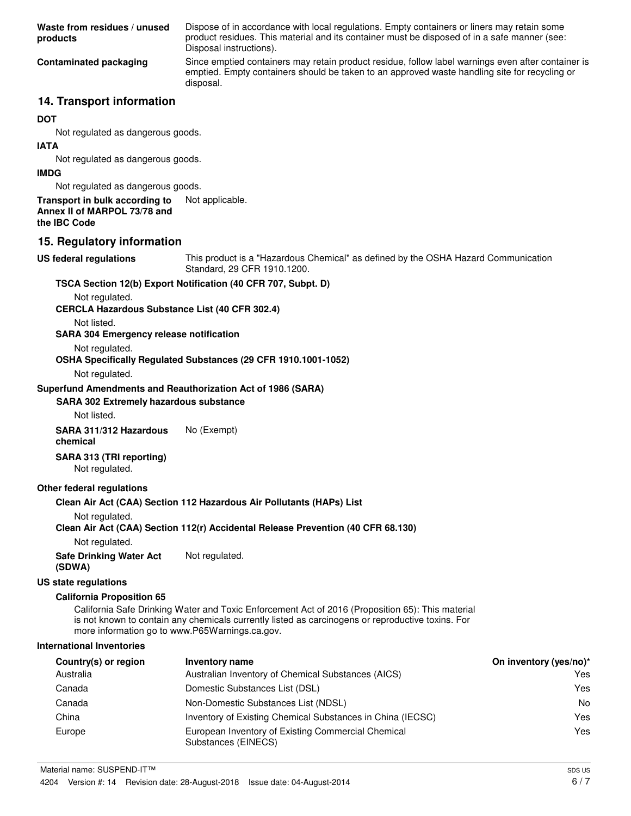| Waste from residues / unused<br>products                                                                            | Dispose of in accordance with local regulations. Empty containers or liners may retain some<br>product residues. This material and its container must be disposed of in a safe manner (see:<br>Disposal instructions). |                        |
|---------------------------------------------------------------------------------------------------------------------|------------------------------------------------------------------------------------------------------------------------------------------------------------------------------------------------------------------------|------------------------|
| <b>Contaminated packaging</b>                                                                                       | Since emptied containers may retain product residue, follow label warnings even after container is<br>emptied. Empty containers should be taken to an approved waste handling site for recycling or<br>disposal.       |                        |
| 14. Transport information                                                                                           |                                                                                                                                                                                                                        |                        |
| <b>DOT</b>                                                                                                          |                                                                                                                                                                                                                        |                        |
| Not regulated as dangerous goods.                                                                                   |                                                                                                                                                                                                                        |                        |
| IATA                                                                                                                |                                                                                                                                                                                                                        |                        |
| Not regulated as dangerous goods.                                                                                   |                                                                                                                                                                                                                        |                        |
| <b>IMDG</b>                                                                                                         |                                                                                                                                                                                                                        |                        |
| Not regulated as dangerous goods.<br>Transport in bulk according to<br>Annex II of MARPOL 73/78 and<br>the IBC Code | Not applicable.                                                                                                                                                                                                        |                        |
| 15. Regulatory information                                                                                          |                                                                                                                                                                                                                        |                        |
| <b>US federal regulations</b>                                                                                       | This product is a "Hazardous Chemical" as defined by the OSHA Hazard Communication<br>Standard, 29 CFR 1910.1200.                                                                                                      |                        |
| Not regulated.<br><b>CERCLA Hazardous Substance List (40 CFR 302.4)</b>                                             | TSCA Section 12(b) Export Notification (40 CFR 707, Subpt. D)                                                                                                                                                          |                        |
| Not listed.<br><b>SARA 304 Emergency release notification</b>                                                       |                                                                                                                                                                                                                        |                        |
| Not regulated.<br>Not regulated.                                                                                    | OSHA Specifically Regulated Substances (29 CFR 1910.1001-1052)                                                                                                                                                         |                        |
| Superfund Amendments and Reauthorization Act of 1986 (SARA)                                                         |                                                                                                                                                                                                                        |                        |
| <b>SARA 302 Extremely hazardous substance</b>                                                                       |                                                                                                                                                                                                                        |                        |
| Not listed.                                                                                                         |                                                                                                                                                                                                                        |                        |
| SARA 311/312 Hazardous<br>chemical                                                                                  | No (Exempt)                                                                                                                                                                                                            |                        |
| SARA 313 (TRI reporting)<br>Not regulated.                                                                          |                                                                                                                                                                                                                        |                        |
| Other federal regulations                                                                                           |                                                                                                                                                                                                                        |                        |
|                                                                                                                     | Clean Air Act (CAA) Section 112 Hazardous Air Pollutants (HAPs) List                                                                                                                                                   |                        |
| Not regulated.                                                                                                      | Clean Air Act (CAA) Section 112(r) Accidental Release Prevention (40 CFR 68.130)                                                                                                                                       |                        |
| Not regulated.                                                                                                      |                                                                                                                                                                                                                        |                        |
| <b>Safe Drinking Water Act</b><br>(SDWA)                                                                            | Not regulated.                                                                                                                                                                                                         |                        |
| <b>US state regulations</b>                                                                                         |                                                                                                                                                                                                                        |                        |
| <b>California Proposition 65</b>                                                                                    |                                                                                                                                                                                                                        |                        |
| more information go to www.P65Warnings.ca.gov.                                                                      | California Safe Drinking Water and Toxic Enforcement Act of 2016 (Proposition 65): This material<br>is not known to contain any chemicals currently listed as carcinogens or reproductive toxins. For                  |                        |
| <b>International Inventories</b>                                                                                    |                                                                                                                                                                                                                        |                        |
| Country(s) or region                                                                                                | <b>Inventory name</b>                                                                                                                                                                                                  | On inventory (yes/no)* |
| Australia                                                                                                           | Australian Inventory of Chemical Substances (AICS)                                                                                                                                                                     | Yes.                   |
| Canada                                                                                                              | Domestic Substances List (DSL)                                                                                                                                                                                         | Yes                    |
| Canada                                                                                                              | Non-Domestic Substances List (NDSL)                                                                                                                                                                                    | No                     |
| China                                                                                                               | Inventory of Existing Chemical Substances in China (IECSC)                                                                                                                                                             | Yes                    |
| Europe                                                                                                              | European Inventory of Existing Commercial Chemical<br>Substances (EINECS)                                                                                                                                              | Yes                    |